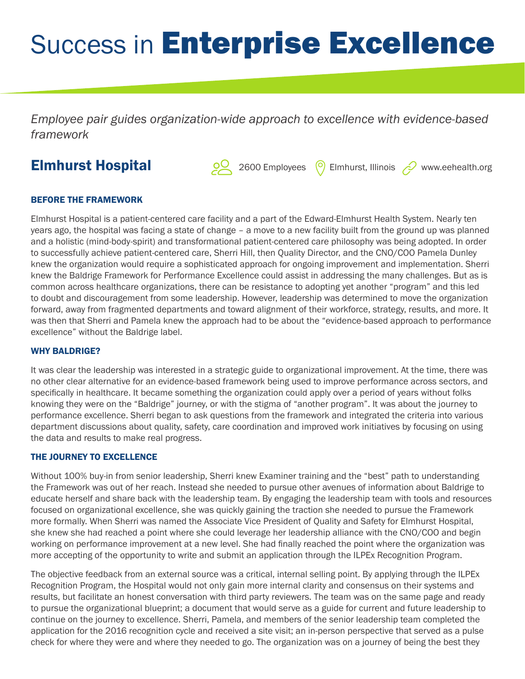# Success in Enterprise Excellence

*Employee pair guides organization-wide approach to excellence with evidence-based framework*

# Elmhurst Hospital

2600 Employees <sup>O</sup> Elmhurst, Illinois 2000 Employees Pullet Elmhurst, Illinois

## BEFORE THE FRAMEWORK

Elmhurst Hospital is a patient-centered care facility and a part of the Edward-Elmhurst Health System. Nearly ten years ago, the hospital was facing a state of change – a move to a new facility built from the ground up was planned and a holistic (mind-body-spirit) and transformational patient-centered care philosophy was being adopted. In order to successfully achieve patient-centered care, Sherri Hill, then Quality Director, and the CNO/COO Pamela Dunley knew the organization would require a sophisticated approach for ongoing improvement and implementation. Sherri knew the Baldrige Framework for Performance Excellence could assist in addressing the many challenges. But as is common across healthcare organizations, there can be resistance to adopting yet another "program" and this led to doubt and discouragement from some leadership. However, leadership was determined to move the organization forward, away from fragmented departments and toward alignment of their workforce, strategy, results, and more. It was then that Sherri and Pamela knew the approach had to be about the "evidence-based approach to performance excellence" without the Baldrige label.

#### WHY BALDRIGE?

It was clear the leadership was interested in a strategic guide to organizational improvement. At the time, there was no other clear alternative for an evidence-based framework being used to improve performance across sectors, and specifically in healthcare. It became something the organization could apply over a period of years without folks knowing they were on the "Baldrige" journey, or with the stigma of "another program". It was about the journey to performance excellence. Sherri began to ask questions from the framework and integrated the criteria into various department discussions about quality, safety, care coordination and improved work initiatives by focusing on using the data and results to make real progress.

### THE JOURNEY TO EXCELLENCE

Without 100% buy-in from senior leadership, Sherri knew Examiner training and the "best" path to understanding the Framework was out of her reach. Instead she needed to pursue other avenues of information about Baldrige to educate herself and share back with the leadership team. By engaging the leadership team with tools and resources focused on organizational excellence, she was quickly gaining the traction she needed to pursue the Framework more formally. When Sherri was named the Associate Vice President of Quality and Safety for Elmhurst Hospital, she knew she had reached a point where she could leverage her leadership alliance with the CNO/COO and begin working on performance improvement at a new level. She had finally reached the point where the organization was more accepting of the opportunity to write and submit an application through the ILPEx Recognition Program.

The objective feedback from an external source was a critical, internal selling point. By applying through the ILPEx Recognition Program, the Hospital would not only gain more internal clarity and consensus on their systems and results, but facilitate an honest conversation with third party reviewers. The team was on the same page and ready to pursue the organizational blueprint; a document that would serve as a guide for current and future leadership to continue on the journey to excellence. Sherri, Pamela, and members of the senior leadership team completed the application for the 2016 recognition cycle and received a site visit; an in-person perspective that served as a pulse check for where they were and where they needed to go. The organization was on a journey of being the best they